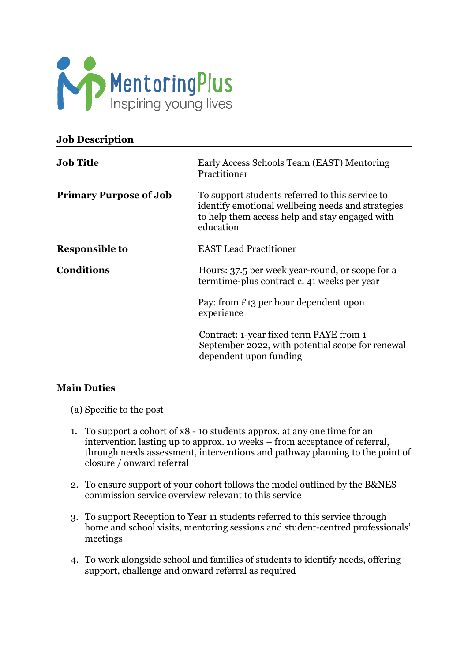

| <b>Job Description</b>        |                                                                                                                                                                     |
|-------------------------------|---------------------------------------------------------------------------------------------------------------------------------------------------------------------|
| <b>Job Title</b>              | Early Access Schools Team (EAST) Mentoring<br>Practitioner                                                                                                          |
| <b>Primary Purpose of Job</b> | To support students referred to this service to<br>identify emotional wellbeing needs and strategies<br>to help them access help and stay engaged with<br>education |
| <b>Responsible to</b>         | <b>EAST Lead Practitioner</b>                                                                                                                                       |
| <b>Conditions</b>             | Hours: 37.5 per week year-round, or scope for a<br>termtime-plus contract c. 41 weeks per year                                                                      |
|                               | Pay: from £13 per hour dependent upon<br>experience                                                                                                                 |
|                               | Contract: 1-year fixed term PAYE from 1<br>September 2022, with potential scope for renewal<br>dependent upon funding                                               |

### **Main Duties**

(a) Specific to the post

- 1. To support a cohort of x8 10 students approx. at any one time for an intervention lasting up to approx. 10 weeks – from acceptance of referral, through needs assessment, interventions and pathway planning to the point of closure / onward referral
- 2. To ensure support of your cohort follows the model outlined by the B&NES commission service overview relevant to this service
- 3. To support Reception to Year 11 students referred to this service through home and school visits, mentoring sessions and student-centred professionals' meetings
- 4. To work alongside school and families of students to identify needs, offering support, challenge and onward referral as required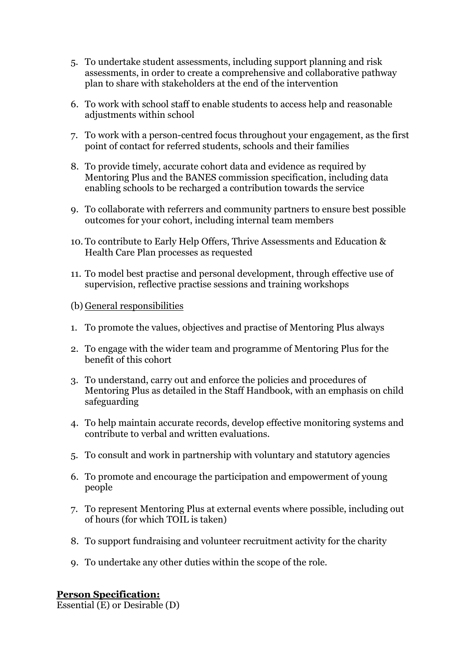- 5. To undertake student assessments, including support planning and risk assessments, in order to create a comprehensive and collaborative pathway plan to share with stakeholders at the end of the intervention
- 6. To work with school staff to enable students to access help and reasonable adjustments within school
- 7. To work with a person-centred focus throughout your engagement, as the first point of contact for referred students, schools and their families
- 8. To provide timely, accurate cohort data and evidence as required by Mentoring Plus and the BANES commission specification, including data enabling schools to be recharged a contribution towards the service
- 9. To collaborate with referrers and community partners to ensure best possible outcomes for your cohort, including internal team members
- 10. To contribute to Early Help Offers, Thrive Assessments and Education & Health Care Plan processes as requested
- 11. To model best practise and personal development, through effective use of supervision, reflective practise sessions and training workshops

#### (b) General responsibilities

- 1. To promote the values, objectives and practise of Mentoring Plus always
- 2. To engage with the wider team and programme of Mentoring Plus for the benefit of this cohort
- 3. To understand, carry out and enforce the policies and procedures of Mentoring Plus as detailed in the Staff Handbook, with an emphasis on child safeguarding
- 4. To help maintain accurate records, develop effective monitoring systems and contribute to verbal and written evaluations.
- 5. To consult and work in partnership with voluntary and statutory agencies
- 6. To promote and encourage the participation and empowerment of young people
- 7. To represent Mentoring Plus at external events where possible, including out of hours (for which TOIL is taken)
- 8. To support fundraising and volunteer recruitment activity for the charity
- 9. To undertake any other duties within the scope of the role.

#### **Person Specification:**

Essential (E) or Desirable (D)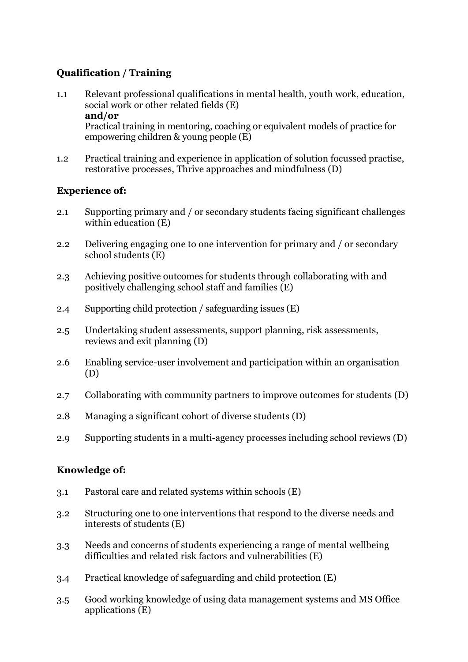# **Qualification / Training**

1.1 Relevant professional qualifications in mental health, youth work, education, social work or other related fields (E) **and/or** Practical training in mentoring, coaching or equivalent models of practice for

empowering children & young people (E)

1.2 Practical training and experience in application of solution focussed practise, restorative processes, Thrive approaches and mindfulness (D)

### **Experience of:**

- 2.1 Supporting primary and / or secondary students facing significant challenges within education (E)
- 2.2 Delivering engaging one to one intervention for primary and / or secondary school students (E)
- 2.3 Achieving positive outcomes for students through collaborating with and positively challenging school staff and families (E)
- 2.4 Supporting child protection / safeguarding issues (E)
- 2.5 Undertaking student assessments, support planning, risk assessments, reviews and exit planning (D)
- 2.6 Enabling service-user involvement and participation within an organisation (D)
- 2.7 Collaborating with community partners to improve outcomes for students (D)
- 2.8 Managing a significant cohort of diverse students (D)
- 2.9 Supporting students in a multi-agency processes including school reviews (D)

### **Knowledge of:**

- 3.1 Pastoral care and related systems within schools (E)
- 3.2 Structuring one to one interventions that respond to the diverse needs and interests of students (E)
- 3.3 Needs and concerns of students experiencing a range of mental wellbeing difficulties and related risk factors and vulnerabilities (E)
- 3.4 Practical knowledge of safeguarding and child protection (E)
- 3.5 Good working knowledge of using data management systems and MS Office applications (E)